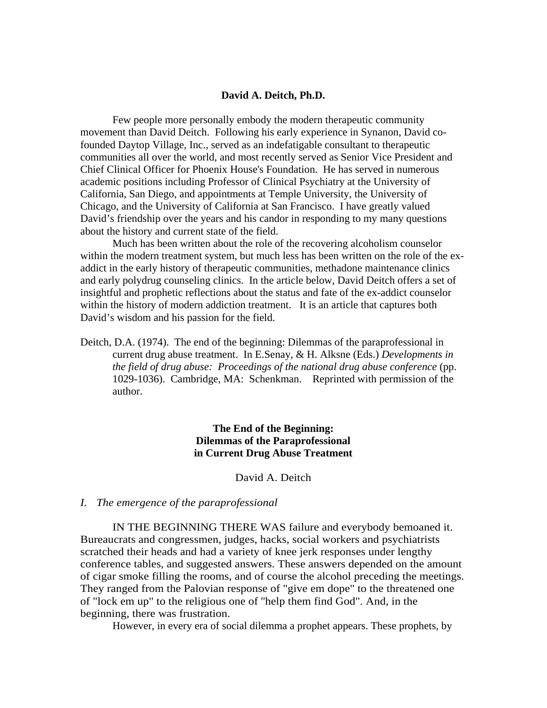# **David A. Deitch, Ph.D.**

Few people more personally embody the modern therapeutic community movement than David Deitch. Following his early experience in Synanon, David cofounded Daytop Village, Inc., served as an indefatigable consultant to therapeutic communities all over the world, and most recently served as Senior Vice President and Chief Clinical Officer for Phoenix House's Foundation. He has served in numerous academic positions including Professor of Clinical Psychiatry at the University of California, San Diego, and appointments at Temple University, the University of Chicago, and the University of California at San Francisco. I have greatly valued David's friendship over the years and his candor in responding to my many questions about the history and current state of the field.

 Much has been written about the role of the recovering alcoholism counselor within the modern treatment system, but much less has been written on the role of the exaddict in the early history of therapeutic communities, methadone maintenance clinics and early polydrug counseling clinics. In the article below, David Deitch offers a set of insightful and prophetic reflections about the status and fate of the ex-addict counselor within the history of modern addiction treatment. It is an article that captures both David's wisdom and his passion for the field.

Deitch, D.A. (1974). The end of the beginning: Dilemmas of the paraprofessional in current drug abuse treatment. In E.Senay, & H. Alksne (Eds.) *Developments in the field of drug abuse: Proceedings of the national drug abuse conference* (pp. 1029-1036). Cambridge, MA: Schenkman. Reprinted with permission of the author.

> **The End of the Beginning: Dilemmas of the Paraprofessional in Current Drug Abuse Treatment**

> > David A. Deitch

### *I. The emergence of the paraprofessional*

 IN THE BEGINNING THERE WAS failure and everybody bemoaned it. Bureaucrats and congressmen, judges, hacks, social workers and psychiatrists scratched their heads and had a variety of knee jerk responses under lengthy conference tables, and suggested answers. These answers depended on the amount of cigar smoke filling the rooms, and of course the alcohol preceding the meetings. They ranged from the Palovian response of "give em dope" to the threatened one of "lock em up" to the religious one of ''help them find God". And, in the beginning, there was frustration.

However, in every era of social dilemma a prophet appears. These prophets, by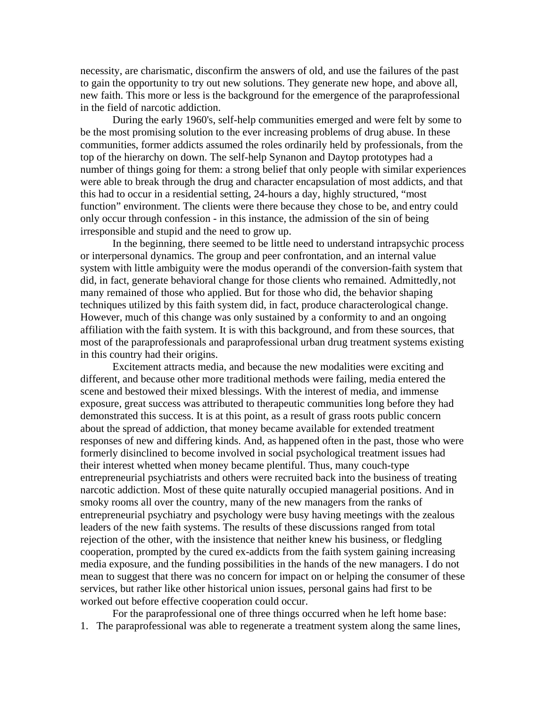necessity, are charismatic, disconfirm the answers of old, and use the failures of the past to gain the opportunity to try out new solutions. They generate new hope, and above all, new faith. This more or less is the background for the emergence of the paraprofessional in the field of narcotic addiction.

During the early 1960's, self-help communities emerged and were felt by some to be the most promising solution to the ever increasing problems of drug abuse. In these communities, former addicts assumed the roles ordinarily held by professionals, from the top of the hierarchy on down. The self-help Synanon and Daytop prototypes had a number of things going for them: a strong belief that only people with similar experiences were able to break through the drug and character encapsulation of most addicts, and that this had to occur in a residential setting, 24-hours a day, highly structured, "most function" environment. The clients were there because they chose to be, and entry could only occur through confession - in this instance, the admission of the sin of being irresponsible and stupid and the need to grow up.

In the beginning, there seemed to be little need to understand intrapsychic process or interpersonal dynamics. The group and peer confrontation, and an internal value system with little ambiguity were the modus operandi of the conversion-faith system that did, in fact, generate behavioral change for those clients who remained. Admittedly, not many remained of those who applied. But for those who did, the behavior shaping techniques utilized by this faith system did, in fact, produce characterological change. However, much of this change was only sustained by a conformity to and an ongoing affiliation with the faith system. It is with this background, and from these sources, that most of the paraprofessionals and paraprofessional urban drug treatment systems existing in this country had their origins.

Excitement attracts media, and because the new modalities were exciting and different, and because other more traditional methods were failing, media entered the scene and bestowed their mixed blessings. With the interest of media, and immense exposure, great success was attributed to therapeutic communities long before they had demonstrated this success. It is at this point, as a result of grass roots public concern about the spread of addiction, that money became available for extended treatment responses of new and differing kinds. And, as happened often in the past, those who were formerly disinclined to become involved in social psychological treatment issues had their interest whetted when money became plentiful. Thus, many couch-type entrepreneurial psychiatrists and others were recruited back into the business of treating narcotic addiction. Most of these quite naturally occupied managerial positions. And in smoky rooms all over the country, many of the new managers from the ranks of entrepreneurial psychiatry and psychology were busy having meetings with the zealous leaders of the new faith systems. The results of these discussions ranged from total rejection of the other, with the insistence that neither knew his business, or fledgling cooperation, prompted by the cured ex-addicts from the faith system gaining increasing media exposure, and the funding possibilities in the hands of the new managers. I do not mean to suggest that there was no concern for impact on or helping the consumer of these services, but rather like other historical union issues, personal gains had first to be worked out before effective cooperation could occur.

For the paraprofessional one of three things occurred when he left home base: 1. The paraprofessional was able to regenerate a treatment system along the same lines,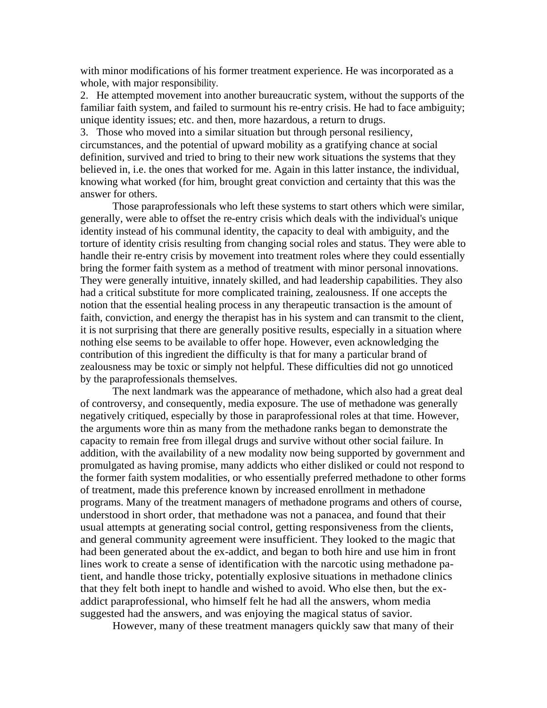with minor modifications of his former treatment experience. He was incorporated as a whole, with major responsibility.

2. He attempted movement into another bureaucratic system, without the supports of the familiar faith system, and failed to surmount his re-entry crisis. He had to face ambiguity; unique identity issues; etc. and then, more hazardous, a return to drugs.

3. Those who moved into a similar situation but through personal resiliency, circumstances, and the potential of upward mobility as a gratifying chance at social definition, survived and tried to bring to their new work situations the systems that they believed in, i.e. the ones that worked for me. Again in this latter instance, the individual, knowing what worked (for him, brought great conviction and certainty that this was the answer for others.

 Those paraprofessionals who left these systems to start others which were similar, generally, were able to offset the re-entry crisis which deals with the individual's unique identity instead of his communal identity, the capacity to deal with ambiguity, and the torture of identity crisis resulting from changing social roles and status. They were able to handle their re-entry crisis by movement into treatment roles where they could essentially bring the former faith system as a method of treatment with minor personal innovations. They were generally intuitive, innately skilled, and had leadership capabilities. They also had a critical substitute for more complicated training, zealousness. If one accepts the notion that the essential healing process in any therapeutic transaction is the amount of faith, conviction, and energy the therapist has in his system and can transmit to the client, it is not surprising that there are generally positive results, especially in a situation where nothing else seems to be available to offer hope. However, even acknowledging the contribution of this ingredient the difficulty is that for many a particular brand of zealousness may be toxic or simply not helpful. These difficulties did not go unnoticed by the paraprofessionals themselves.

 The next landmark was the appearance of methadone, which also had a great deal of controversy, and consequently, media exposure. The use of methadone was generally negatively critiqued, especially by those in paraprofessional roles at that time. However, the arguments wore thin as many from the methadone ranks began to demonstrate the capacity to remain free from illegal drugs and survive without other social failure. In addition, with the availability of a new modality now being supported by government and promulgated as having promise, many addicts who either disliked or could not respond to the former faith system modalities, or who essentially preferred methadone to other forms of treatment, made this preference known by increased enrollment in methadone programs. Many of the treatment managers of methadone programs and others of course, understood in short order, that methadone was not a panacea, and found that their usual attempts at generating social control, getting responsiveness from the clients, and general community agreement were insufficient. They looked to the magic that had been generated about the ex-addict, and began to both hire and use him in front lines work to create a sense of identification with the narcotic using methadone patient, and handle those tricky, potentially explosive situations in methadone clinics that they felt both inept to handle and wished to avoid. Who else then, but the exaddict paraprofessional, who himself felt he had all the answers, whom media suggested had the answers, and was enjoying the magical status of savior.

However, many of these treatment managers quickly saw that many of their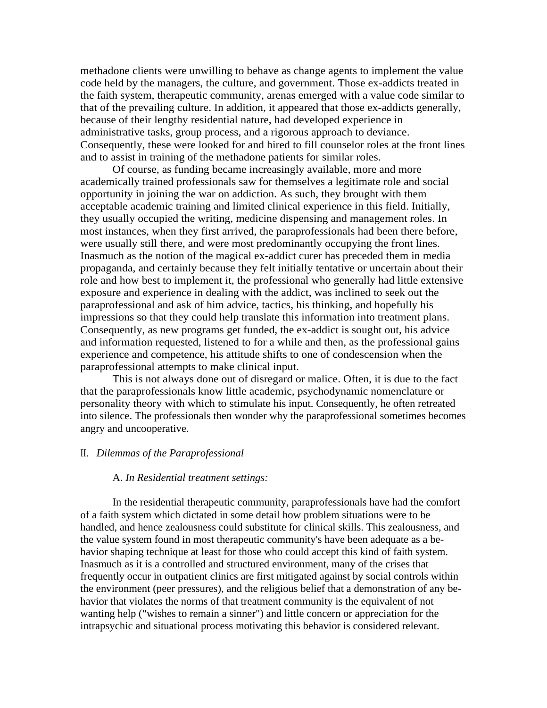methadone clients were unwilling to behave as change agents to implement the value code held by the managers, the culture, and government. Those ex-addicts treated in the faith system, therapeutic community, arenas emerged with a value code similar to that of the prevailing culture. In addition, it appeared that those ex-addicts generally, because of their lengthy residential nature, had developed experience in administrative tasks, group process, and a rigorous approach to deviance. Consequently, these were looked for and hired to fill counselor roles at the front lines and to assist in training of the methadone patients for similar roles.

Of course, as funding became increasingly available, more and more academically trained professionals saw for themselves a legitimate role and social opportunity in joining the war on addiction. As such, they brought with them acceptable academic training and limited clinical experience in this field. Initially, they usually occupied the writing, medicine dispensing and management roles. In most instances, when they first arrived, the paraprofessionals had been there before, were usually still there, and were most predominantly occupying the front lines. Inasmuch as the notion of the magical ex-addict curer has preceded them in media propaganda, and certainly because they felt initially tentative or uncertain about their role and how best to implement it, the professional who generally had little extensive exposure and experience in dealing with the addict, was inclined to seek out the paraprofessional and ask of him advice, tactics, his thinking, and hopefully his impressions so that they could help translate this information into treatment plans. Consequently, as new programs get funded, the ex-addict is sought out, his advice and information requested, listened to for a while and then, as the professional gains experience and competence, his attitude shifts to one of condescension when the paraprofessional attempts to make clinical input.

This is not always done out of disregard or malice. Often, it is due to the fact that the paraprofessionals know little academic, psychodynamic nomenclature or personality theory with which to stimulate his input. Consequently, he often retreated into silence. The professionals then wonder why the paraprofessional sometimes becomes angry and uncooperative.

### II. *Dilemmas of the Paraprofessional*

# A. *In Residential treatment settings:*

In the residential therapeutic community, paraprofessionals have had the comfort of a faith system which dictated in some detail how problem situations were to be handled, and hence zealousness could substitute for clinical skills. This zealousness, and the value system found in most therapeutic community's have been adequate as a behavior shaping technique at least for those who could accept this kind of faith system. Inasmuch as it is a controlled and structured environment, many of the crises that frequently occur in outpatient clinics are first mitigated against by social controls within the environment (peer pressures), and the religious belief that a demonstration of any behavior that violates the norms of that treatment community is the equivalent of not wanting help ("wishes to remain a sinner") and little concern or appreciation for the intrapsychic and situational process motivating this behavior is considered relevant.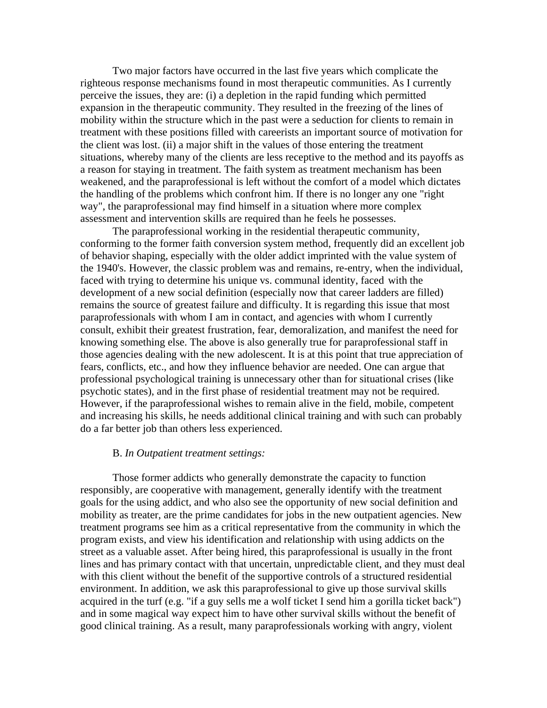Two major factors have occurred in the last five years which complicate the righteous response mechanisms found in most therapeutic communities. As I currently perceive the issues, they are: (i) a depletion in the rapid funding which permitted expansion in the therapeutic community. They resulted in the freezing of the lines of mobility within the structure which in the past were a seduction for clients to remain in treatment with these positions filled with careerists an important source of motivation for the client was lost. (ii) a major shift in the values of those entering the treatment situations, whereby many of the clients are less receptive to the method and its payoffs as a reason for staying in treatment. The faith system as treatment mechanism has been weakened, and the paraprofessional is left without the comfort of a model which dictates the handling of the problems which confront him. If there is no longer any one "right way", the paraprofessional may find himself in a situation where more complex assessment and intervention skills are required than he feels he possesses.

 The paraprofessional working in the residential therapeutic community, conforming to the former faith conversion system method, frequently did an excellent job of behavior shaping, especially with the older addict imprinted with the value system of the 1940's. However, the classic problem was and remains, re-entry, when the individual, faced with trying to determine his unique vs. communal identity, faced with the development of a new social definition (especially now that career ladders are filled) remains the source of greatest failure and difficulty. It is regarding this issue that most paraprofessionals with whom I am in contact, and agencies with whom I currently consult, exhibit their greatest frustration, fear, demoralization, and manifest the need for knowing something else. The above is also generally true for paraprofessional staff in those agencies dealing with the new adolescent. It is at this point that true appreciation of fears, conflicts, etc., and how they influence behavior are needed. One can argue that professional psychological training is unnecessary other than for situational crises (like psychotic states), and in the first phase of residential treatment may not be required. However, if the paraprofessional wishes to remain alive in the field, mobile, competent and increasing his skills, he needs additional clinical training and with such can probably do a far better job than others less experienced.

# B. *In Outpatient treatment settings:*

Those former addicts who generally demonstrate the capacity to function responsibly, are cooperative with management, generally identify with the treatment goals for the using addict, and who also see the opportunity of new social definition and mobility as treater, are the prime candidates for jobs in the new outpatient agencies. New treatment programs see him as a critical representative from the community in which the program exists, and view his identification and relationship with using addicts on the street as a valuable asset. After being hired, this paraprofessional is usually in the front lines and has primary contact with that uncertain, unpredictable client, and they must deal with this client without the benefit of the supportive controls of a structured residential environment. In addition, we ask this paraprofessional to give up those survival skills acquired in the turf (e.g. "if a guy sells me a wolf ticket I send him a gorilla ticket back") and in some magical way expect him to have other survival skills without the benefit of good clinical training. As a result, many paraprofessionals working with angry, violent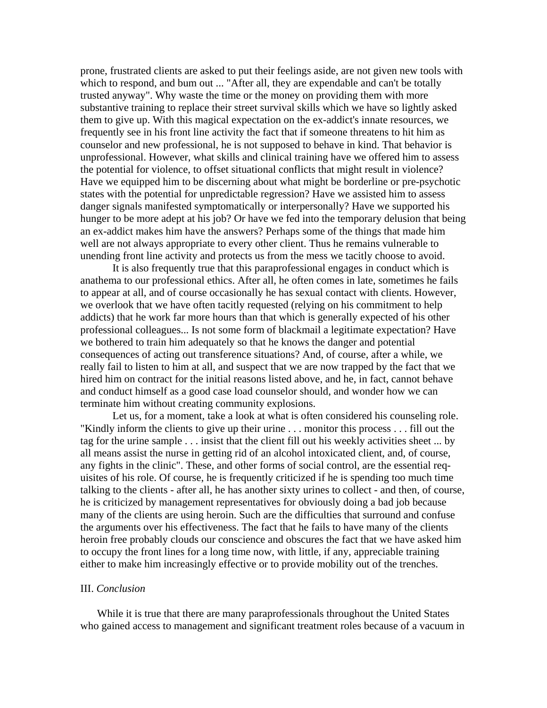prone, frustrated clients are asked to put their feelings aside, are not given new tools with which to respond, and bum out ... "After all, they are expendable and can't be totally trusted anyway". Why waste the time or the money on providing them with more substantive training to replace their street survival skills which we have so lightly asked them to give up. With this magical expectation on the ex-addict's innate resources, we frequently see in his front line activity the fact that if someone threatens to hit him as counselor and new professional, he is not supposed to behave in kind. That behavior is unprofessional. However, what skills and clinical training have we offered him to assess the potential for violence, to offset situational conflicts that might result in violence? Have we equipped him to be discerning about what might be borderline or pre-psychotic states with the potential for unpredictable regression? Have we assisted him to assess danger signals manifested symptomatically or interpersonally? Have we supported his hunger to be more adept at his job? Or have we fed into the temporary delusion that being an ex-addict makes him have the answers? Perhaps some of the things that made him well are not always appropriate to every other client. Thus he remains vulnerable to unending front line activity and protects us from the mess we tacitly choose to avoid.

It is also frequently true that this paraprofessional engages in conduct which is anathema to our professional ethics. After all, he often comes in late, sometimes he fails to appear at all, and of course occasionally he has sexual contact with clients. However, we overlook that we have often tacitly requested (relying on his commitment to help addicts) that he work far more hours than that which is generally expected of his other professional colleagues... Is not some form of blackmail a legitimate expectation? Have we bothered to train him adequately so that he knows the danger and potential consequences of acting out transference situations? And, of course, after a while, we really fail to listen to him at all, and suspect that we are now trapped by the fact that we hired him on contract for the initial reasons listed above, and he, in fact, cannot behave and conduct himself as a good case load counselor should, and wonder how we can terminate him without creating community explosions.

Let us, for a moment, take a look at what is often considered his counseling role. "Kindly inform the clients to give up their urine . . . monitor this process . . . fill out the tag for the urine sample . . . insist that the client fill out his weekly activities sheet ... by all means assist the nurse in getting rid of an alcohol intoxicated client, and, of course, any fights in the clinic". These, and other forms of social control, are the essential requisites of his role. Of course, he is frequently criticized if he is spending too much time talking to the clients - after all, he has another sixty urines to collect - and then, of course, he is criticized by management representatives for obviously doing a bad job because many of the clients are using heroin. Such are the difficulties that surround and confuse the arguments over his effectiveness. The fact that he fails to have many of the clients heroin free probably clouds our conscience and obscures the fact that we have asked him to occupy the front lines for a long time now, with little, if any, appreciable training either to make him increasingly effective or to provide mobility out of the trenches.

### III. *Conclusion*

While it is true that there are many paraprofessionals throughout the United States who gained access to management and significant treatment roles because of a vacuum in